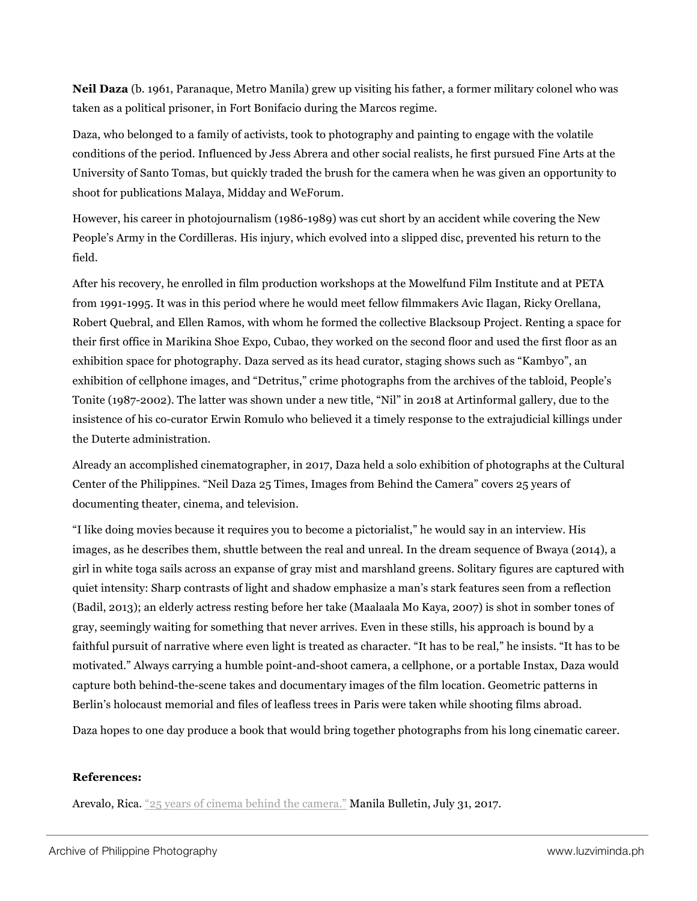**Neil Daza** (b. 1961, Paranaque, Metro Manila) grew up visiting his father, a former military colonel who was taken as a political prisoner, in Fort Bonifacio during the Marcos regime.

Daza, who belonged to a family of activists, took to photography and painting to engage with the volatile conditions of the period. Influenced by Jess Abrera and other social realists, he first pursued Fine Arts at the University of Santo Tomas, but quickly traded the brush for the camera when he was given an opportunity to shoot for publications Malaya, Midday and WeForum.

However, his career in photojournalism (1986-1989) was cut short by an accident while covering the New People's Army in the Cordilleras. His injury, which evolved into a slipped disc, prevented his return to the field.

After his recovery, he enrolled in film production workshops at the Mowelfund Film Institute and at PETA from 1991-1995. It was in this period where he would meet fellow filmmakers Avic Ilagan, Ricky Orellana, Robert Quebral, and Ellen Ramos, with whom he formed the collective Blacksoup Project. Renting a space for their first office in Marikina Shoe Expo, Cubao, they worked on the second floor and used the first floor as an exhibition space for photography. Daza served as its head curator, staging shows such as "Kambyo", an exhibition of cellphone images, and "Detritus," crime photographs from the archives of the tabloid, People's Tonite (1987-2002). The latter was shown under a new title, "Nil" in 2018 at Artinformal gallery, due to the insistence of his co-curator Erwin Romulo who believed it a timely response to the extrajudicial killings under the Duterte administration.

Already an accomplished cinematographer, in 2017, Daza held a solo exhibition of photographs at the Cultural Center of the Philippines. "Neil Daza 25 Times, Images from Behind the Camera" covers 25 years of documenting theater, cinema, and television.

"I like doing movies because it requires you to become a pictorialist," he would say in an interview. His images, as he describes them, shuttle between the real and unreal. In the dream sequence of Bwaya (2014), a girl in white toga sails across an expanse of gray mist and marshland greens. Solitary figures are captured with quiet intensity: Sharp contrasts of light and shadow emphasize a man's stark features seen from a reflection (Badil, 2013); an elderly actress resting before her take (Maalaala Mo Kaya, 2007) is shot in somber tones of gray, seemingly waiting for something that never arrives. Even in these stills, his approach is bound by a faithful pursuit of narrative where even light is treated as character. "It has to be real," he insists. "It has to be motivated." Always carrying a humble point-and-shoot camera, a cellphone, or a portable Instax, Daza would capture both behind-the-scene takes and documentary images of the film location. Geometric patterns in Berlin's holocaust memorial and files of leafless trees in Paris were taken while shooting films abroad.

Daza hopes to one day produce a book that would bring together photographs from his long cinematic career.

## **References:**

Arevalo, Rica. "25 years of cinema behind the camera." Manila Bulletin, July 31, 2017.